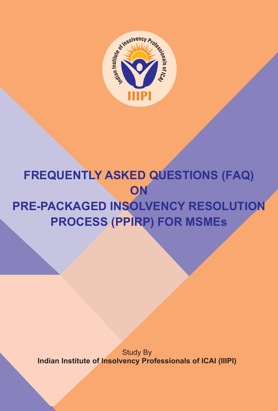

# **FREQUENTLY ASKED QUESTIONS (FAQ) ON PRE-PACKAGED INSOLVENCY RESOLUTION PROCESS (PPIRP) FOR MSMEs**

Study By **Indian Institute of Insolvency Professionals of ICAI (IIIPI)**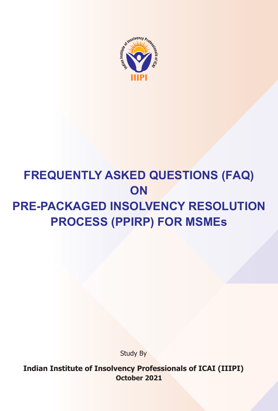

# **FREQUENTLY ASKED QUESTIONS (FAQ) ON PRE-PACKAGED INSOLVENCY RESOLUTION PROCESS (PPIRP) FOR MSMEs**

Study By

**Indian Institute of Insolvency Professionals of ICAI (IIIPI) October 2021**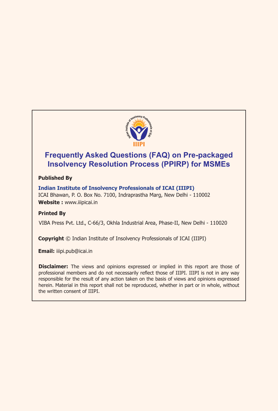

### **Frequently Asked Questions (FAQ) on Pre-packaged Insolvency Resolution Process (PPIRP) for MSMEs**

#### **Published By**

**Indian Institute of Insolvency Professionals of ICAI (IIIPI)**  ICAI Bhawan, P. O. Box No. 7100, Indraprastha Marg, New Delhi - 110002 **Website :** www.iiipicai.in

#### **Printed By**

VIBA Press Pvt. Ltd., C-66/3, Okhla Industrial Area, Phase-II, New Delhi - 110020

**Copyright** © Indian Institute of Insolvency Professionals of ICAI (IIIPI)

**Email:** iiipi.pub@icai.in

**Disclaimer:** The views and opinions expressed or implied in this report are those of professional members and do not necessarily reflect those of IIIPI. IIIPI is not in any way responsible for the result of any action taken on the basis of views and opinions expressed herein. Material in this report shall not be reproduced, whether in part or in whole, without the written consent of IIIPI.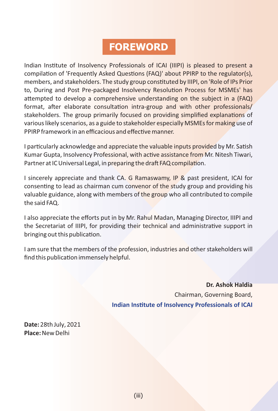## **FOREWORD**

Indian Instute of Insolvency Professionals of ICAI (IIIPI) is pleased to present a compilation of 'Frequently Asked Questions (FAQ)' about PPIRP to the regulator(s), members, and stakeholders. The study group constituted by IIIPI, on 'Role of IPs Prior to, During and Post Pre-packaged Insolvency Resolution Process for MSMEs' has attempted to develop a comprehensive understanding on the subject in a (FAQ) format, after elaborate consultation intra-group and with other professionals/ stakeholders. The group primarily focused on providing simplified explanations of various likely scenarios, as a guide to stakeholder especially MSMEs for making use of PPIRP framework in an efficacious and effective manner.

I particularly acknowledge and appreciate the valuable inputs provided by Mr. Satish Kumar Gupta, Insolvency Professional, with active assistance from Mr. Nitesh Tiwari, Partner at IC Universal Legal, in preparing the draft FAQ compilation.

I sincerely appreciate and thank CA. G Ramaswamy, IP & past president, ICAI for consenting to lead as chairman cum convenor of the study group and providing his valuable guidance, along with members of the group who all contributed to compile the said FAQ.

I also appreciate the efforts put in by Mr. Rahul Madan, Managing Director, IIIPI and the Secretariat of IIIPI, for providing their technical and administrative support in bringing out this publication.

I am sure that the members of the profession, industries and other stakeholders will find this publication immensely helpful.

> **Dr. Ashok Haldia** Chairman, Governing Board, **Indian Institute of Insolvency Professionals of ICAI**

**Date:** 28th July, 2021 **Place:**New Delhi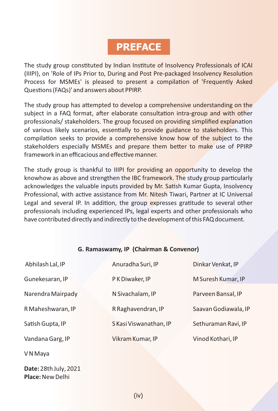## **PREFACE**

The study group constituted by Indian Institute of Insolvency Professionals of ICAI (IIIPI), on 'Role of IPs Prior to, During and Post Pre-packaged Insolvency Resolution Process for MSMEs' is pleased to present a compilation of 'Frequently Asked Questions (FAQs)' and answers about PPIRP.

The study group has attempted to develop a comprehensive understanding on the subject in a FAQ format, after elaborate consultation intra-group and with other professionals/ stakeholders. The group focused on providing simplified explanation of various likely scenarios, essentially to provide guidance to stakeholders. This compilation seeks to provide a comprehensive know how of the subject to the stakeholders especially MSMEs and prepare them better to make use of PPIRP framework in an efficacious and effective manner.

The study group is thankful to IIIPI for providing an opportunity to develop the knowhow as above and strengthen the IBC framework. The study group particularly acknowledges the valuable inputs provided by Mr. Satish Kumar Gupta, Insolvency Professional, with active assistance from Mr. Nitesh Tiwari, Partner at IC Universal Legal and several IP. In addition, the group expresses gratitude to several other professionals including experienced IPs, legal experts and other professionals who have contributed directly and indirectly to the development of this FAQ document.

#### **G. Ramaswamy, IP (Chairman & Convenor)**

| Abhilash Lal, IP  | Anuradha Suri, IP      | Dinkar Venkat, IP    |
|-------------------|------------------------|----------------------|
| Gunekesaran, IP   | P K Diwaker, IP        | M Suresh Kumar, IP   |
| Narendra Mairpady | N Sivachalam, IP       | Parveen Bansal, IP   |
| R Maheshwaran, IP | R Raghavendran, IP     | Saavan Godiawala, IP |
| Satish Gupta, IP  | S Kasi Viswanathan, IP | Sethuraman Ravi, IP  |
| Vandana Garg, IP  | Vikram Kumar, IP       | Vinod Kothari, IP    |
| V N Maya          |                        |                      |

**Date:** 28th July, 2021 **Place:**New Delhi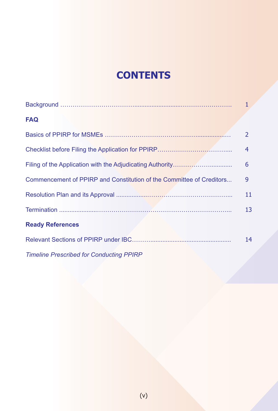## **CONTENTS**

|                                                                      | $\mathbf{1}$   |
|----------------------------------------------------------------------|----------------|
| <b>FAQ</b>                                                           |                |
|                                                                      | $\overline{2}$ |
|                                                                      | 4              |
|                                                                      | 6              |
| Commencement of PPIRP and Constitution of the Committee of Creditors | 9              |
|                                                                      | 11             |
|                                                                      | 13             |
| <b>Ready References</b>                                              |                |
|                                                                      | 14             |
| <b>Timeline Prescribed for Conducting PPIRP</b>                      |                |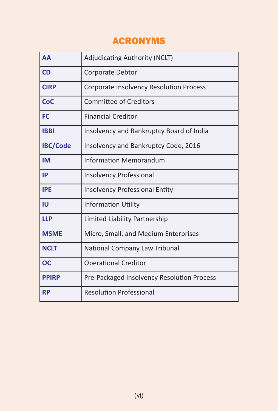## ACRONYMS

| <b>AA</b>       | <b>Adjudicating Authority (NCLT)</b>           |
|-----------------|------------------------------------------------|
| <b>CD</b>       | Corporate Debtor                               |
| <b>CIRP</b>     | <b>Corporate Insolvency Resolution Process</b> |
| <b>CoC</b>      | <b>Committee of Creditors</b>                  |
| <b>FC</b>       | <b>Financial Creditor</b>                      |
| <b>IBBI</b>     | Insolvency and Bankruptcy Board of India       |
| <b>IBC/Code</b> | Insolvency and Bankruptcy Code, 2016           |
| <b>IM</b>       | <b>Information Memorandum</b>                  |
| IP              | <b>Insolvency Professional</b>                 |
| <b>IPE</b>      | <b>Insolvency Professional Entity</b>          |
| IU              | <b>Information Utility</b>                     |
| <b>LLP</b>      | Limited Liability Partnership                  |
| <b>MSME</b>     | Micro, Small, and Medium Enterprises           |
| <b>NCLT</b>     | National Company Law Tribunal                  |
| <b>OC</b>       | <b>Operational Creditor</b>                    |
| <b>PPIRP</b>    | Pre-Packaged Insolvency Resolution Process     |
| <b>RP</b>       | <b>Resolution Professional</b>                 |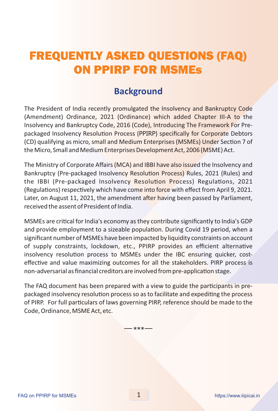## FREQUENTLY ASKED QUESTIONS (FAQ) ON PPIRP FOR MSMEs

### **Background**

The President of India recently promulgated the Insolvency and Bankruptcy Code (Amendment) Ordinance, 2021 (Ordinance) which added Chapter III-A to the Insolvency and Bankruptcy Code, 2016 (Code), Introducing The Framework For Prepackaged Insolvency Resolution Process (PPIRP) specifically for Corporate Debtors (CD) qualifying as micro, small and Medium Enterprises (MSMEs) Under Section 7 of the Micro, Small and Medium Enterprises Development Act, 2006 (MSME) Act.

The Ministry of Corporate Affairs (MCA) and IBBI have also issued the Insolvency and Bankruptcy (Pre-packaged Insolvency Resolution Process) Rules, 2021 (Rules) and the IBBI (Pre-packaged Insolvency Resolution Process) Regulations, 2021 (Regulations) respectively which have come into force with effect from April 9, 2021. Later, on August 11, 2021, the amendment after having been passed by Parliament, received the assent of President of India.

MSMEs are critical for India's economy as they contribute significantly to India's GDP and provide employment to a sizeable population. During Covid 19 period, when a significant number of MSMEs have been impacted by liquidity constraints on account of supply constraints, lockdown, etc., PPIRP provides an efficient alternative insolvency resolution process to MSMEs under the IBC ensuring quicker, costeffective and value maximizing outcomes for all the stakeholders. PIRP process is non-adversarial as financial creditors are involved from pre-application stage.

The FAQ document has been prepared with a view to guide the participants in prepackaged insolvency resolution process so as to facilitate and expediting the process of PIRP. For full particulars of laws governing PIRP, reference should be made to the Code, Ordinance, MSME Act, etc.

 $***-$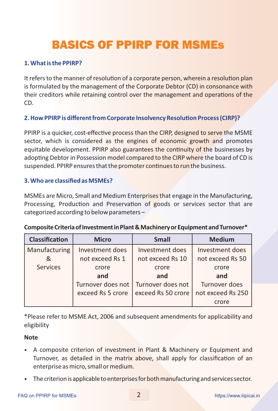## BASICS OF PPIRP FOR MSMEs

#### **1. What is the PPIRP?**

It refers to the manner of resolution of a corporate person, wherein a resolution plan is formulated by the management of the Corporate Debtor (CD) in consonance with their creditors while retaining control over the management and operations of the CD.

#### **2. How PPIRP is different from Corporate Insolvency Resolution Process (CIRP)?**

PPIRP is a quicker, cost-effective process than the CIRP, designed to serve the MSME sector, which is considered as the engines of economic growth and promotes equitable development. PPIRP also guarantees the continuity of the businesses by adopting Debtor in Possession model compared to the CIRP where the board of CD is suspended. PPIRP ensures that the promoter continues to run the business.

#### **3. Who are classified as MSMEs?**

MSMEs are Micro, Small and Medium Enterprises that engage in the Manufacturing, Processing, Production and Preservation of goods or services sector that are categorized according to below parameters –

| <b>Classification</b> | <b>Micro</b>      | <b>Small</b>       | <b>Medium</b>     |
|-----------------------|-------------------|--------------------|-------------------|
| Manufacturing         | Investment does   | Investment does    | Investment does   |
| &                     | not exceed Rs 1   | not exceed Rs 10   | not exceed Rs 50  |
| <b>Services</b>       | crore             | crore              | crore             |
|                       | and               | and                | and               |
|                       | Turnover does not | Turnover does not  | Turnover does     |
|                       | exceed Rs 5 crore | exceed Rs 50 crore | not exceed Rs 250 |
|                       |                   |                    | crore             |

#### **CompositeCriteriaofInvestmentinPlant&MachineryorEquipmentandTurnover\***

\*Please refer to MSME Act, 2006 and subsequent amendments for applicability and eligibility

#### **Note**

- A composite criterion of investment in Plant & Machinery or Equipment and Turnover, as detailed in the matrix above, shall apply for classification of an enterprise as micro, small or medium.
- The criterion is applicable to enterprises for both manufacturing and services sector.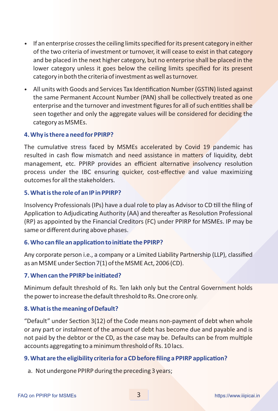- If an enterprise crosses the ceiling limits specified for its present category in either of the two criteria of investment or turnover, it will cease to exist in that category and be placed in the next higher category, but no enterprise shall be placed in the lower category unless it goes below the ceiling limits specified for its present category in both the criteria of investment as well as turnover.
- All units with Goods and Services Tax Identification Number (GSTIN) listed against the same Permanent Account Number (PAN) shall be collectively treated as one enterprise and the turnover and investment figures for all of such entities shall be seen together and only the aggregate values will be considered for deciding the category as MSMEs.

#### **4. Why is there a need for PPIRP?**

The cumulative stress faced by MSMEs accelerated by Covid 19 pandemic has resulted in cash flow mismatch and need assistance in matters of liquidity, debt management, etc. PPIRP provides an efficient alternative insolvency resolution process under the IBC ensuring quicker, cost-effective and value maximizing outcomes for all the stakeholders.

#### **5. What is the role of an IP in PPIRP?**

Insolvency Professionals (IPs) have a dual role to play as Advisor to CD till the filing of Application to Adjudicating Authority (AA) and thereafter as Resolution Professional (RP) as appointed by the Financial Creditors (FC) under PPIRP for MSMEs. IP may be same or different during above phases.

#### **6. Who can file an application to initiate the PPIRP?**

Any corporate person i.e., a company or a Limited Liability Partnership (LLP), classified as an MSME under Section 7(1) of the MSME Act, 2006 (CD).

#### **7. When can the PPIRP be iniated?**

Minimum default threshold of Rs. Ten lakh only but the Central Government holds the power to increase the default threshold to Rs. One crore only.

#### **8. What is the meaning of Default?**

"Default" under Section 3(12) of the Code means non-payment of debt when whole or any part or instalment of the amount of debt has become due and payable and is not paid by the debtor or the CD, as the case may be. Defaults can be from multiple accounts aggregating to a minimum threshold of Rs. 10 lacs.

#### **9. What are the eligibility criteria for a CD before filing a PPIRP application?**

a. Not undergone PPIRP during the preceding 3 years;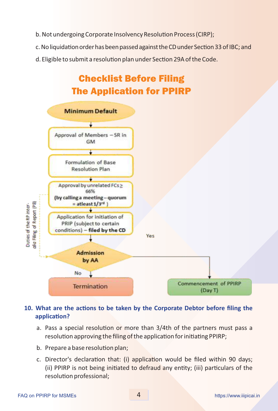- b. Not undergoing Corporate Insolvency Resolution Process (CIRP);
- c. No liquidation order has been passed against the CD under Section 33 of IBC; and
- d. Eligible to submit a resolution plan under Section 29A of the Code.



### **10. What are the actions to be taken by the Corporate Debtor before filing the application?**

- a. Pass a special resolution or more than 3/4th of the partners must pass a resolution approving the filing of the application for initiating PPIRP;
- b. Prepare a base resolution plan;
- c. Director's declaration that: (i) application would be filed within 90 days; (ii) PPIRP is not being initiated to defraud any entity; (iii) particulars of the resolution professional;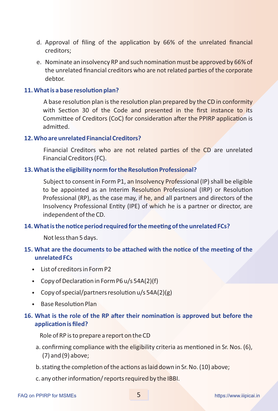- d. Approval of filing of the application by 66% of the unrelated financial creditors;
- e. Nominate an insolvency RP and such nomination must be approved by 66% of the unrelated financial creditors who are not related parties of the corporate debtor.

#### **11. What is a base resolution plan?**

A base resolution plan is the resolution plan prepared by the CD in conformity with Section 30 of the Code and presented in the first instance to its Committee of Creditors (CoC) for consideration after the PPIRP application is admitted.

#### **12. Who are unrelated Financial Creditors?**

Financial Creditors who are not related parties of the CD are unrelated Financial Creditors (FC).

#### **13. What is the eligibility norm for the Resolution Professional?**

Subject to consent in Form P1, an Insolvency Professional (IP) shall be eligible to be appointed as an Interim Resolution Professional (IRP) or Resolution Professional (RP), as the case may, if he, and all partners and directors of the Insolvency Professional Entity (IPE) of which he is a partner or director, are independent of the CD.

#### 14. What is the notice period required for the meeting of the unrelated FCs?

Not less than 5 days.

#### **15. What are the documents to be attached with the notice of the meeting of the unrelated FCs**

- List of creditors in Form P2
- Copy of Declaration in Form P6  $u/s$  54A(2)(f)
- Copy of special/partners resolution  $u/s$  54A(2)(g)
- **Base Resolution Plan**

#### 16. What is the role of the RP after their nomination is approved but before the **application is filed?**

Role of RP is to prepare a report on the CD

- a. confirming compliance with the eligibility criteria as mentioned in Sr. Nos. (6), (7) and (9) above;
- b. stating the completion of the actions as laid down in Sr. No. (10) above;
- c. any other information/ reports required by the IBBI.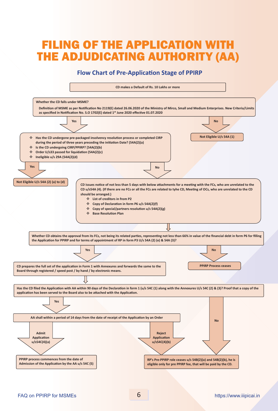## FILING OF THE APPLICATION WITH THE ADJUDICATING AUTHORITY (AA)

#### **Flow Chart of Pre-Application Stage of PPIRP**

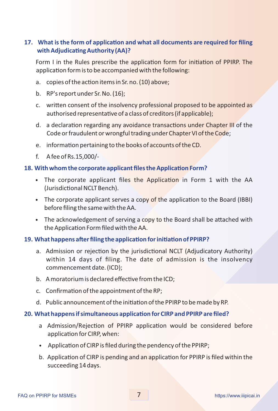#### **17. What is the form of application and what all documents are required for filing with Adjudicating Authority (AA)?**

Form I in the Rules prescribe the application form for initiation of PPIRP. The application form is to be accompanied with the following:

- a. copies of the action items in Sr. no. (10) above;
- b. RP's report under Sr. No. (16);
- c. written consent of the insolvency professional proposed to be appointed as authorised representative of a class of creditors (if applicable);
- d. a declaration regarding any avoidance transactions under Chapter III of the Code or fraudulent or wrongful trading under Chapter VI of the Code;
- e. information pertaining to the books of accounts of the CD.
- f. A fee of Rs.15,000/-

#### **18. With whom the corporate applicant files the Application Form?**

- The corporate applicant files the Application in Form 1 with the AA (Jurisdictional NCLT Bench).
- The corporate applicant serves a copy of the application to the Board (IBBI) before filing the same with the AA.
- The acknowledgement of serving a copy to the Board shall be attached with the Application Form filed with the AA.

#### **19. What happens after filing the application for initiation of PPIRP?**

- a. Admission or rejection by the jurisdictional NCLT (Adjudicatory Authority) within 14 days of filing. The date of admission is the insolvency commencement date. (ICD);
- b. A moratorium is declared effective from the ICD;
- $c.$  Confirmation of the appointment of the RP;
- d. Public announcement of the initiation of the PPIRP to be made by RP.

#### **20. What happens if simultaneous application for CIRP and PPIRP are filed?**

- a Admission/Rejection of PPIRP application would be considered before application for CIRP, when:
- Application of CIRP is filed during the pendency of the PPIRP;
- b. Application of CIRP is pending and an application for PPIRP is filed within the succeeding 14 days.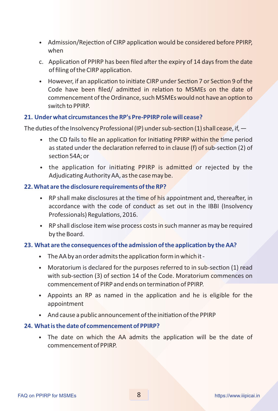- Admission/Rejection of CIRP application would be considered before PPIRP, when
- c. Application of PPIRP has been filed after the expiry of  $14$  days from the date of filing of the CIRP application.
- However, if an application to initiate CIRP under Section 7 or Section 9 of the Code have been filed/ admitted in relation to MSMEs on the date of commencement of the Ordinance, such MSMEs would not have an option to switch to PPIRP.

#### **21. Under what circumstances the RP's Pre-PPIRP role will cease?**

The duties of the Insolvency Professional (IP) under sub-section (1) shall cease, if,  $-$ 

- the CD fails to file an application for Initiating PPIRP within the time period as stated under the declaration referred to in clause (f) of sub-section (2) of section 54A; or
- the application for initiating PPIRP is admitted or rejected by the Adjudicating Authority AA, as the case may be.

#### **22. What are the disclosure requirements of the RP?**

- RP shall make disclosures at the time of his appointment and, thereafter, in accordance with the code of conduct as set out in the IBBI (Insolvency Professionals) Regulations, 2016.
- RP shall disclose item wise process costs in such manner as may be required by the Board.

#### **23. What are the consequences of the admission of the application by the AA?**

- $\bullet$  The AA by an order admits the application form in which it -
- Moratorium is declared for the purposes referred to in sub-section (1) read with sub-section (3) of section 14 of the Code. Moratorium commences on commencement of PIRP and ends on termination of PPIRP.
- Appoints an RP as named in the application and he is eligible for the appointment
- And cause a public announcement of the initiation of the PPIRP

#### **24. What is the date of commencement of PPIRP?**

• The date on which the AA admits the application will be the date of commencement of PPIRP.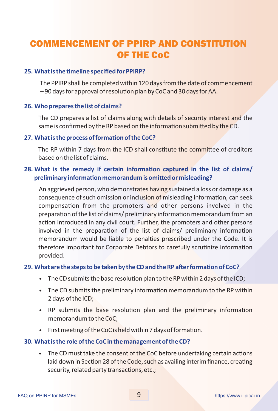## COMMENCEMENT OF PPIRP AND CONSTITUTION OF THE CoC

#### **25. What is the timeline specified for PPIRP?**

The PPIRP shall be completed within 120 days from the date of commencement  $-90$  days for approval of resolution plan by CoC and 30 days for AA.

#### **26. Who prepares the list of claims?**

The CD prepares a list of claims along with details of security interest and the same is confirmed by the RP based on the information submitted by the CD.

#### **27. What is the process of formation of the CoC?**

The RP within 7 days from the ICD shall constitute the committee of creditors based on the list of claims.

#### **28. What is the remedy if certain information captured in the list of claims/ preliminary information memorandum is omitted or misleading?**

An aggrieved person, who demonstrates having sustained a loss or damage as a consequence of such omission or inclusion of misleading information, can seek compensation from the promoters and other persons involved in the preparation of the list of claims/ preliminary information memorandum from an action introduced in any civil court. Further, the promoters and other persons involved in the preparation of the list of claims/ preliminary information memorandum would be liable to penalties prescribed under the Code. It is therefore important for Corporate Debtors to carefully scrutinize information provided.

#### **29. What are the steps to be taken by the CD and the RP after formation of CoC?**

- The CD submits the base resolution plan to the RP within 2 days of the ICD;
- The CD submits the preliminary information memorandum to the RP within 2 days of the ICD;
- RP submits the base resolution plan and the preliminary information memorandum to the CoC;
- First meeting of the CoC is held within 7 days of formation.

#### **30. What is the role of the CoC in the management of the CD?**

• The CD must take the consent of the CoC before undertaking certain actions laid down in Section 28 of the Code, such as availing interim finance, creating security, related party transactions, etc.;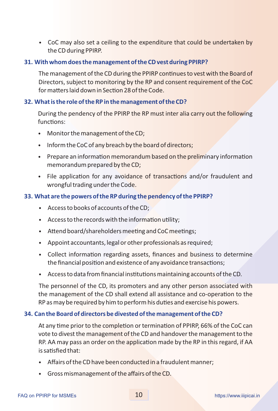• CoC may also set a ceiling to the expenditure that could be undertaken by the CD during PPIRP.

#### **31. With whom does the management of the CD vest during PPIRP?**

The management of the CD during the PPIRP continues to vest with the Board of Directors, subject to monitoring by the RP and consent requirement of the CoC for matters laid down in Section 28 of the Code.

#### **32. What is the role of the RP in the management of the CD?**

During the pendency of the PPIRP the RP must inter alia carry out the following functions:

- Monitor the management of the CD;
- Inform the CoC of any breach by the board of directors;
- Prepare an information memorandum based on the preliminary information memorandum prepared by the CD;
- File application for any avoidance of transactions and/or fraudulent and wrongful trading under the Code.

#### **33. What are the powers of the RP during the pendency of the PPIRP?**

- Access to books of accounts of the CD;
- Access to the records with the information utility;
- $\bullet$  Attend board/shareholders meeting and CoC meetings;
- Appoint accountants, legal or other professionals as required;
- Collect information regarding assets, finances and business to determine the financial position and existence of any avoidance transactions;
- Access to data from financial institutions maintaining accounts of the CD.

The personnel of the CD, its promoters and any other person associated with the management of the CD shall extend all assistance and co-operation to the RP as may be required by him to perform his duties and exercise his powers.

#### **34. Can the Board of directors be divested of the management of the CD?**

At any time prior to the completion or termination of PPIRP, 66% of the CoC can vote to divest the management of the CD and handover the management to the RP. AA may pass an order on the application made by the RP in this regard, if AA is satisfied that:

- Affairs of the CD have been conducted in a fraudulent manner;
- Gross mismanagement of the affairs of the CD.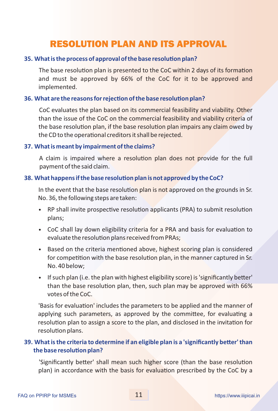### RESOLUTION PLAN AND ITS APPROVAL

#### **35. What is the process of approval of the base resolution plan?**

The base resolution plan is presented to the CoC within 2 days of its formation and must be approved by 66% of the CoC for it to be approved and implemented.

#### **36. What are the reasons for rejection of the base resolution plan?**

CoC evaluates the plan based on its commercial feasibility and viability. Other than the issue of the CoC on the commercial feasibility and viability criteria of the base resolution plan, if the base resolution plan impairs any claim owed by the CD to the operational creditors it shall be rejected.

#### **37. What is meant by impairment of the claims?**

A claim is impaired where a resolution plan does not provide for the full payment of the said claim.

#### **38. What happens if the base resolution plan is not approved by the CoC?**

In the event that the base resolution plan is not approved on the grounds in Sr. No. 36, the following steps are taken:

- RP shall invite prospective resolution applicants (PRA) to submit resolution plans;
- CoC shall lay down eligibility criteria for a PRA and basis for evaluation to evaluate the resolution plans received from PRAs;
- Based on the criteria mentioned above, highest scoring plan is considered for competition with the base resolution plan, in the manner captured in Sr. No. 40 below;
- $\bullet$  If such plan (i.e. the plan with highest eligibility score) is 'significantly better' than the base resolution plan, then, such plan may be approved with 66% votes of the CoC.

'Basis for evaluation' includes the parameters to be applied and the manner of applying such parameters, as approved by the committee, for evaluating a resolution plan to assign a score to the plan, and disclosed in the invitation for resolution plans.

#### **39. What is the criteria to determine if an eligible plan is a 'significantly better' than the base resolution plan?**

'Significantly better' shall mean such higher score (than the base resolution plan) in accordance with the basis for evaluation prescribed by the CoC by a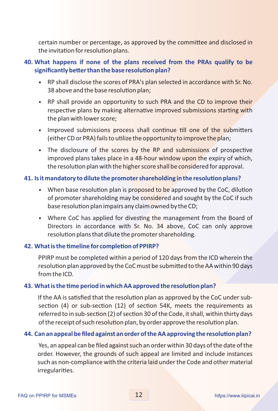certain number or percentage, as approved by the committee and disclosed in the invitation for resolution plans.

#### **40. What happens if none of the plans received from the PRAs qualify to be**  significantly better than the base resolution plan?

- RP shall disclose the scores of PRA's plan selected in accordance with Sr. No. 38 above and the base resolution plan;
- RP shall provide an opportunity to such PRA and the CD to improve their respective plans by making alternative improved submissions starting with the plan with lower score;
- Improved submissions process shall continue till one of the submitters (either CD or PRA) fails to utilize the opportunity to improve the plan;
- The disclosure of the scores by the RP and submissions of prospective improved plans takes place in a 48-hour window upon the expiry of which, the resolution plan with the higher score shall be considered for approval.

#### **41. Is it mandatory to dilute the promoter shareholding in the resolution plans?**

- When base resolution plan is proposed to be approved by the CoC, dilution of promoter shareholding may be considered and sought by the CoC if such base resolution plan impairs any claim owned by the CD;
- Where CoC has applied for divesting the management from the Board of Directors in accordance with Sr. No. 34 above, CoC can only approve resolution plans that dilute the promoter shareholding.

#### 42. What is the timeline for completion of PPIRP?

PPIRP must be completed within a period of 120 days from the ICD wherein the resolution plan approved by the CoC must be submitted to the AA within 90 days from the ICD.

#### 43. What is the time period in which AA approved the resolution plan?

If the AA is satisfied that the resolution plan as approved by the CoC under subsection  $(4)$  or sub-section  $(12)$  of section 54K, meets the requirements as referred to in sub-section (2) of section 30 of the Code, it shall, within thirty days of the receipt of such resolution plan, by order approve the resolution plan.

#### 44. Can an appeal be filed against an order of the AA approving the resolution plan?

Yes, an appeal can be filed against such an order within 30 days of the date of the order. However, the grounds of such appeal are limited and include instances such as non-compliance with the criteria laid under the Code and other material irregularities.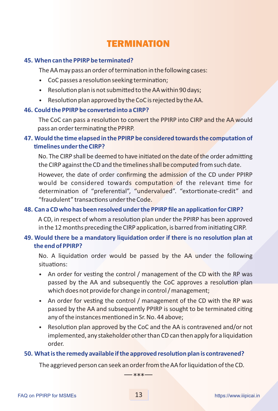### TERMINATION

#### **45. When can the PPIRP be terminated?**

The AA may pass an order of termination in the following cases:

- CoC passes a resolution seeking termination;
- Resolution plan is not submitted to the AA within 90 days;
- $\bullet$  Resolution plan approved by the CoC is rejected by the AA.

#### **46. Could the PPIRP be converted into a CIRP?**

The CoC can pass a resolution to convert the PPIRP into CIRP and the AA would pass an order terminating the PPIRP.

#### 47. Would the time elapsed in the PPIRP be considered towards the computation of **melines under the CIRP?**

No. The CIRP shall be deemed to have initiated on the date of the order admitting the CIRP against the CD and the timelines shall be computed from such date.

However, the date of order confirming the admission of the CD under PPIRP would be considered towards computation of the relevant time for determination of "preferential", "undervalued". "extortionate-credit" and "fraudulent" transactions under the Code.

#### 48. Can a CD who has been resolved under the PPIRP file an application for CIRP?

A CD, in respect of whom a resolution plan under the PPIRP has been approved in the 12 months preceding the CIRP application, is barred from initiating CIRP.

#### 49. Would there be a mandatory liquidation order if there is no resolution plan at **the end of PPIRP?**

No. A liquidation order would be passed by the AA under the following situations:

- An order for vesting the control / management of the CD with the RP was passed by the AA and subsequently the CoC approves a resolution plan which does not provide for change in control / management;
- An order for vesting the control / management of the CD with the RP was passed by the AA and subsequently PPIRP is sought to be terminated citing any of the instances mentioned in Sr. No. 44 above;
- Resolution plan approved by the CoC and the AA is contravened and/or not implemented, any stakeholder other than CD can then apply for a liquidation order.

#### **50. What is the remedy available if the approved resolution plan is contravened?**

The aggrieved person can seek an order from the AA for liquidation of the CD.

 $***-$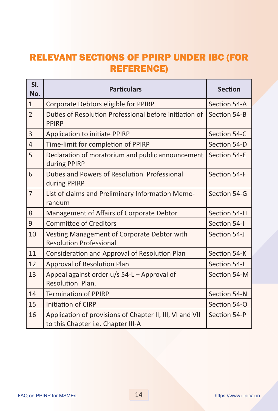## RELEVANT SECTIONS OF PPIRP UNDER IBC (FOR REFERENCE)

| SI.<br>No.     | <b>Particulars</b>                                                                             | <b>Section</b> |
|----------------|------------------------------------------------------------------------------------------------|----------------|
| $\mathbf{1}$   | Corporate Debtors eligible for PPIRP                                                           | Section 54-A   |
| $\overline{2}$ | Duties of Resolution Professional before initiation of<br><b>PPIRP</b>                         | Section 54-B   |
| 3              | <b>Application to initiate PPIRP</b>                                                           | Section 54-C   |
| $\overline{4}$ | Time-limit for completion of PPIRP                                                             | Section 54-D   |
| 5              | Declaration of moratorium and public announcement<br>during PPIRP                              | Section 54-E   |
| 6              | Duties and Powers of Resolution Professional<br>during PPIRP                                   | Section 54-F   |
| $\overline{7}$ | List of claims and Preliminary Information Memo-<br>randum                                     | Section 54-G   |
| 8              | Management of Affairs of Corporate Debtor                                                      | Section 54-H   |
| 9              | <b>Committee of Creditors</b>                                                                  | Section 54-I   |
| 10             | Vesting Management of Corporate Debtor with<br><b>Resolution Professional</b>                  | Section 54-J   |
| 11             | Consideration and Approval of Resolution Plan                                                  | Section 54-K   |
| 12             | Approval of Resolution Plan                                                                    | Section 54-L   |
| 13             | Appeal against order u/s 54-L - Approval of<br>Resolution Plan.                                | Section 54-M   |
| 14             | <b>Termination of PPIRP</b>                                                                    | Section 54-N   |
| 15             | <b>Initiation of CIRP</b>                                                                      | Section 54-O   |
| 16             | Application of provisions of Chapter II, III, VI and VII<br>to this Chapter i.e. Chapter III-A | Section 54-P   |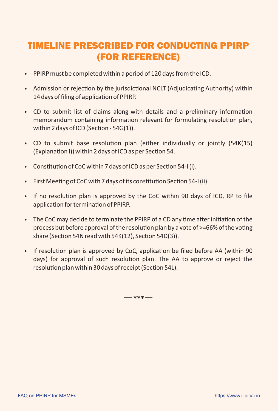## TIMELINE PRESCRIBED FOR CONDUCTING PPIRP (FOR REFERENCE)

- PPIRP must be completed within a period of 120 days from the ICD.
- Admission or rejection by the jurisdictional NCLT (Adjudicating Authority) within 14 days of filing of application of PPIRP.
- CD to submit list of claims along-with details and a preliminary information memorandum containing information relevant for formulating resolution plan, within 2 days of ICD (Section -  $54G(1)$ ).
- CD to submit base resolution plan (either individually or jointly (54K(15) (Explanation I)) within 2 days of ICD as per Section 54.
- Constitution of CoC within 7 days of ICD as per Section 54-I (i).
- $\bullet$  First Meeting of CoC with 7 days of its constitution Section 54-I (ii).
- If no resolution plan is approved by the CoC within 90 days of ICD, RP to file application for termination of PPIRP.
- The CoC may decide to terminate the PPIRP of a CD any time after initiation of the process but before approval of the resolution plan by a vote of  $>=$  66% of the voting share (Section 54N read with  $54K(12)$ , Section 54D(3)).
- If resolution plan is approved by CoC, application be filed before AA (within 90) days) for approval of such resolution plan. The AA to approve or reject the resolution plan within 30 days of receipt (Section 54L).

 $***-$